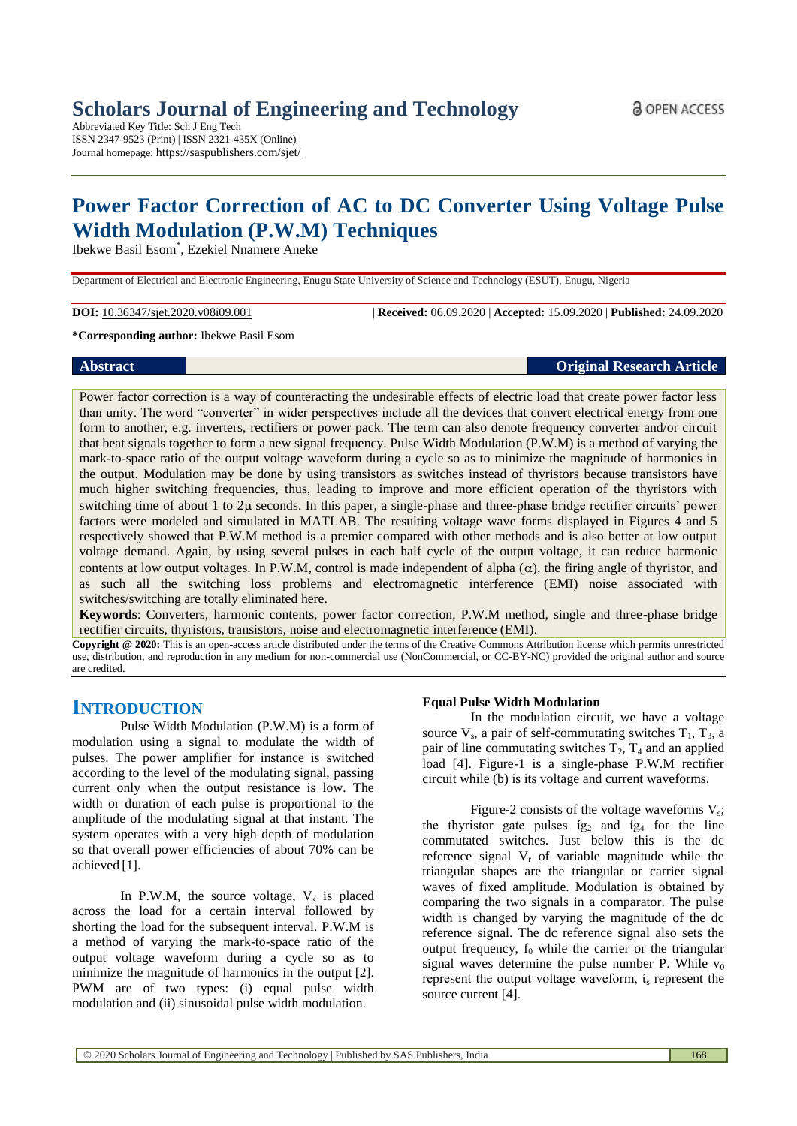Abbreviated Key Title: Sch J Eng Tech ISSN 2347-9523 (Print) | ISSN 2321-435X (Online) Journal homepage: https://saspublishers.com/sjet/

# **Power Factor Correction of AC to DC Converter Using Voltage Pulse Width Modulation (P.W.M) Techniques**

Ibekwe Basil Esom\* , Ezekiel Nnamere Aneke

Department of Electrical and Electronic Engineering, Enugu State University of Science and Technology (ESUT), Enugu, Nigeria

**DOI:** 10.36347/sjet.2020.v08i09.001 | **Received:** 06.09.2020 | **Accepted:** 15.09.2020 | **Published:** 24.09.2020

**\*Corresponding author:** Ibekwe Basil Esom

|  | Abstract |  |
|--|----------|--|
|  |          |  |

**Absolute 1 Absolute 1 Article** 

Power factor correction is a way of counteracting the undesirable effects of electric load that create power factor less than unity. The word "converter" in wider perspectives include all the devices that convert electrical energy from one form to another, e.g. inverters, rectifiers or power pack. The term can also denote frequency converter and/or circuit that beat signals together to form a new signal frequency. Pulse Width Modulation (P.W.M) is a method of varying the mark-to-space ratio of the output voltage waveform during a cycle so as to minimize the magnitude of harmonics in the output. Modulation may be done by using transistors as switches instead of thyristors because transistors have much higher switching frequencies, thus, leading to improve and more efficient operation of the thyristors with switching time of about 1 to  $2\mu$  seconds. In this paper, a single-phase and three-phase bridge rectifier circuits' power factors were modeled and simulated in MATLAB. The resulting voltage wave forms displayed in Figures 4 and 5 respectively showed that P.W.M method is a premier compared with other methods and is also better at low output voltage demand. Again, by using several pulses in each half cycle of the output voltage, it can reduce harmonic contents at low output voltages. In P.W.M, control is made independent of alpha  $(\alpha)$ , the firing angle of thyristor, and as such all the switching loss problems and electromagnetic interference (EMI) noise associated with switches/switching are totally eliminated here.

**Keywords**: Converters, harmonic contents, power factor correction, P.W.M method, single and three-phase bridge rectifier circuits, thyristors, transistors, noise and electromagnetic interference (EMI).

**Copyright @ 2020:** This is an open-access article distributed under the terms of the Creative Commons Attribution license which permits unrestricted use, distribution, and reproduction in any medium for non-commercial use (NonCommercial, or CC-BY-NC) provided the original author and source are credited.

## **INTRODUCTION**

Pulse Width Modulation (P.W.M) is a form of modulation using a signal to modulate the width of pulses. The power amplifier for instance is switched according to the level of the modulating signal, passing current only when the output resistance is low. The width or duration of each pulse is proportional to the amplitude of the modulating signal at that instant. The system operates with a very high depth of modulation so that overall power efficiencies of about 70% can be achieved [1].

In P.W.M, the source voltage,  $V_s$  is placed across the load for a certain interval followed by shorting the load for the subsequent interval. P.W.M is a method of varying the mark-to-space ratio of the output voltage waveform during a cycle so as to minimize the magnitude of harmonics in the output [2]. PWM are of two types: (i) equal pulse width modulation and (ii) sinusoidal pulse width modulation.

## **Equal Pulse Width Modulation**

In the modulation circuit, we have a voltage source  $V_s$ , a pair of self-commutating switches  $T_1$ ,  $T_3$ , a pair of line commutating switches  $T_2$ ,  $T_4$  and an applied load [4]. Figure-1 is a single-phase P.W.M rectifier circuit while (b) is its voltage and current waveforms.

Figure-2 consists of the voltage waveforms  $V_s$ ; the thyristor gate pulses  $(g_2 \text{ and } (g_4 \text{ for the line}))$ commutated switches. Just below this is the dc reference signal  $V_r$  of variable magnitude while the triangular shapes are the triangular or carrier signal waves of fixed amplitude. Modulation is obtained by comparing the two signals in a comparator. The pulse width is changed by varying the magnitude of the dc reference signal. The dc reference signal also sets the output frequency,  $f_0$  while the carrier or the triangular signal waves determine the pulse number P. While  $v_0$ represent the output voltage waveform,  $i<sub>s</sub>$  represent the source current [4].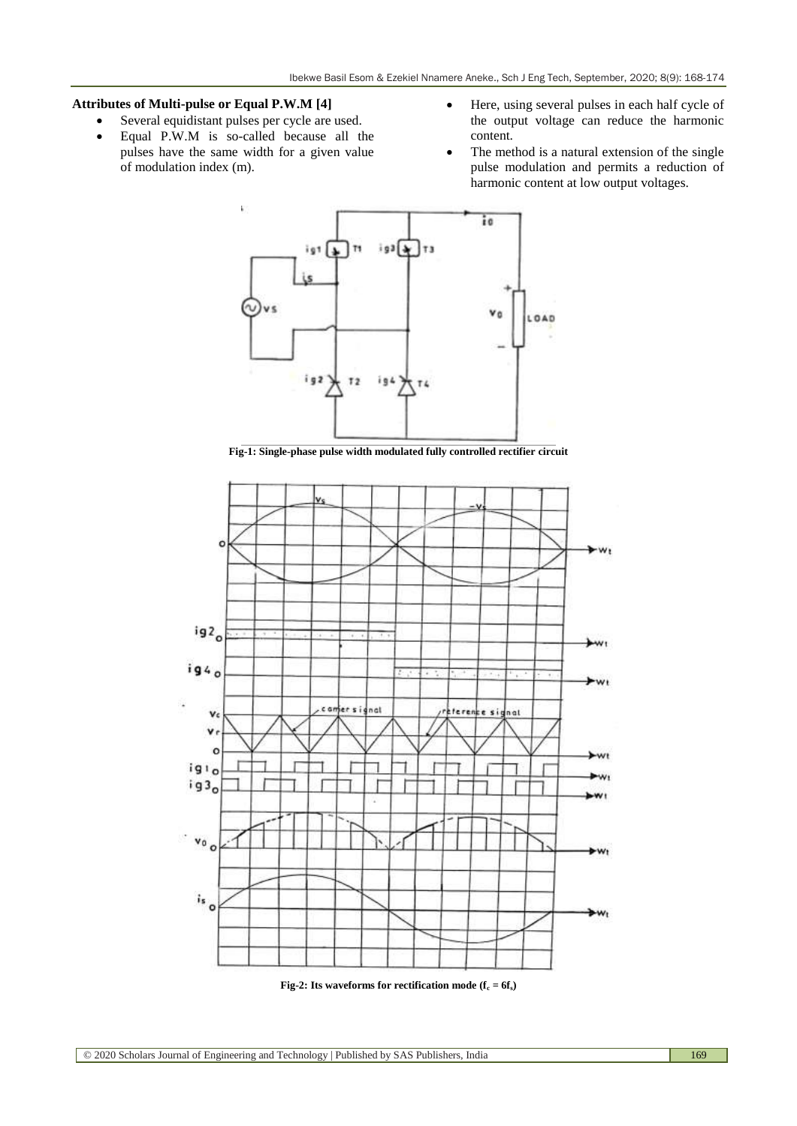## **Attributes of Multi-pulse or Equal P.W.M [4]**

- Several equidistant pulses per cycle are used.
- Equal P.W.M is so-called because all the pulses have the same width for a given value of modulation index (m).
- Here, using several pulses in each half cycle of the output voltage can reduce the harmonic content.
- The method is a natural extension of the single pulse modulation and permits a reduction of harmonic content at low output voltages.



**Fig-1: Single-phase pulse width modulated fully controlled rectifier circuit**



**Fig-2: Its waveforms for rectification mode (** $f_c = 6f_s$ **)**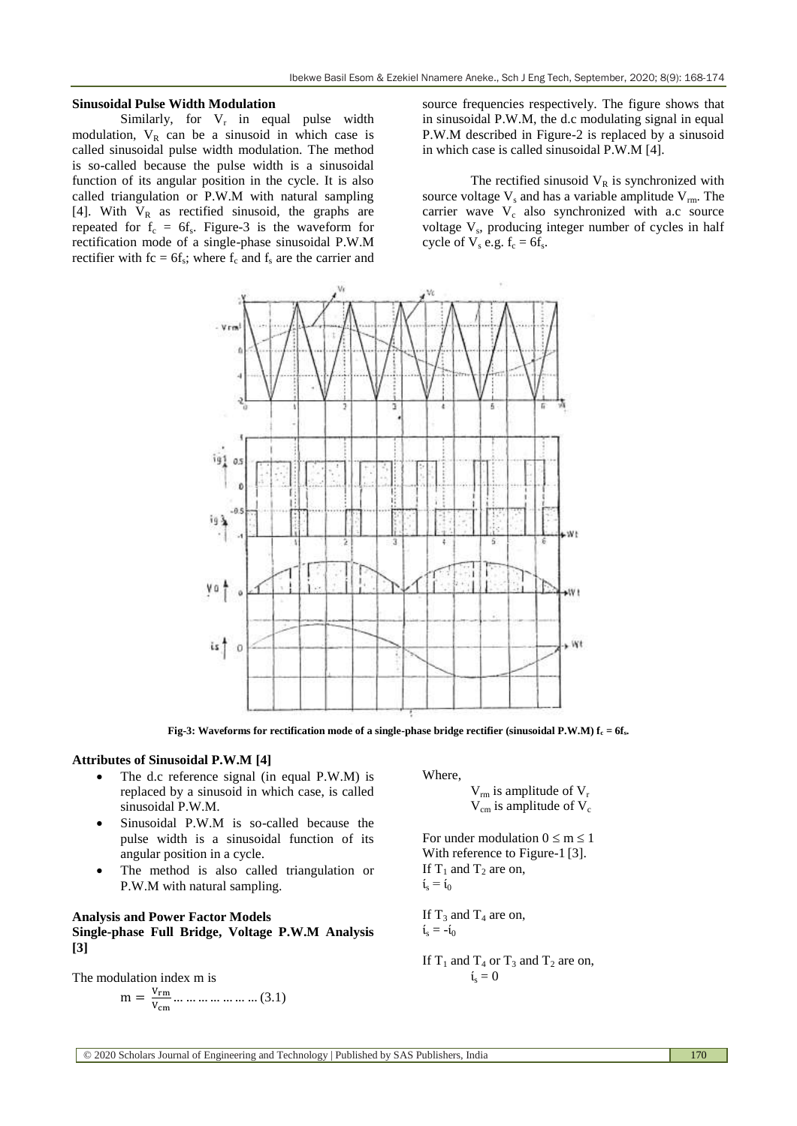### **Sinusoidal Pulse Width Modulation**

Similarly, for  $V_r$  in equal pulse width modulation,  $V_R$  can be a sinusoid in which case is called sinusoidal pulse width modulation. The method is so-called because the pulse width is a sinusoidal function of its angular position in the cycle. It is also called triangulation or P.W.M with natural sampling [4]. With  $V_R$  as rectified sinusoid, the graphs are repeated for  $f_c = 6f_s$ . Figure-3 is the waveform for rectification mode of a single-phase sinusoidal P.W.M rectifier with  $fc = 6f_s$ ; where  $f_c$  and  $f_s$  are the carrier and

source frequencies respectively. The figure shows that in sinusoidal P.W.M, the d.c modulating signal in equal P.W.M described in Figure-2 is replaced by a sinusoid in which case is called sinusoidal P.W.M [4].

The rectified sinusoid  $V_R$  is synchronized with source voltage  $V_s$  and has a variable amplitude  $V_{rm}$ . The carrier wave  $V_c$  also synchronized with a.c source voltage V<sub>s</sub>, producing integer number of cycles in half cycle of  $V_s$  e.g.  $f_c = 6f_s$ .



**Fig-3: Waveforms for rectification mode of a single-phase bridge rectifier (sinusoidal P.W.M) f<sup>c</sup> = 6fs.**

## **Attributes of Sinusoidal P.W.M [4]**

- The d.c reference signal (in equal P.W.M) is replaced by a sinusoid in which case, is called sinusoidal P.W.M.
- Sinusoidal P.W.M is so-called because the pulse width is a sinusoidal function of its angular position in a cycle.
- The method is also called triangulation or P.W.M with natural sampling.

## **Analysis and Power Factor Models Single-phase Full Bridge, Voltage P.W.M Analysis**

**[3]**

The modulation index m is

$$
m = \frac{V_{rm}}{V_{cm}} \dots \dots \dots \dots \dots \dots \dots (3.1)
$$

#### Where,

 $V_{rm}$  is amplitude of  $V_{\rm r}$  $V_{cm}$  is amplitude of  $V_c$ 

For under modulation  $0 \le m \le 1$ With reference to Figure-1<sup>[3]</sup>. If  $T_1$  and  $T_2$  are on,  $\mathfrak{i}_s = \mathfrak{i}_0$ 

If  $T_3$  and  $T_4$  are on,  $i_s = -i_0$ 

If  $T_1$  and  $T_4$  or  $T_3$  and  $T_2$  are on,  $i<sub>s</sub> = 0$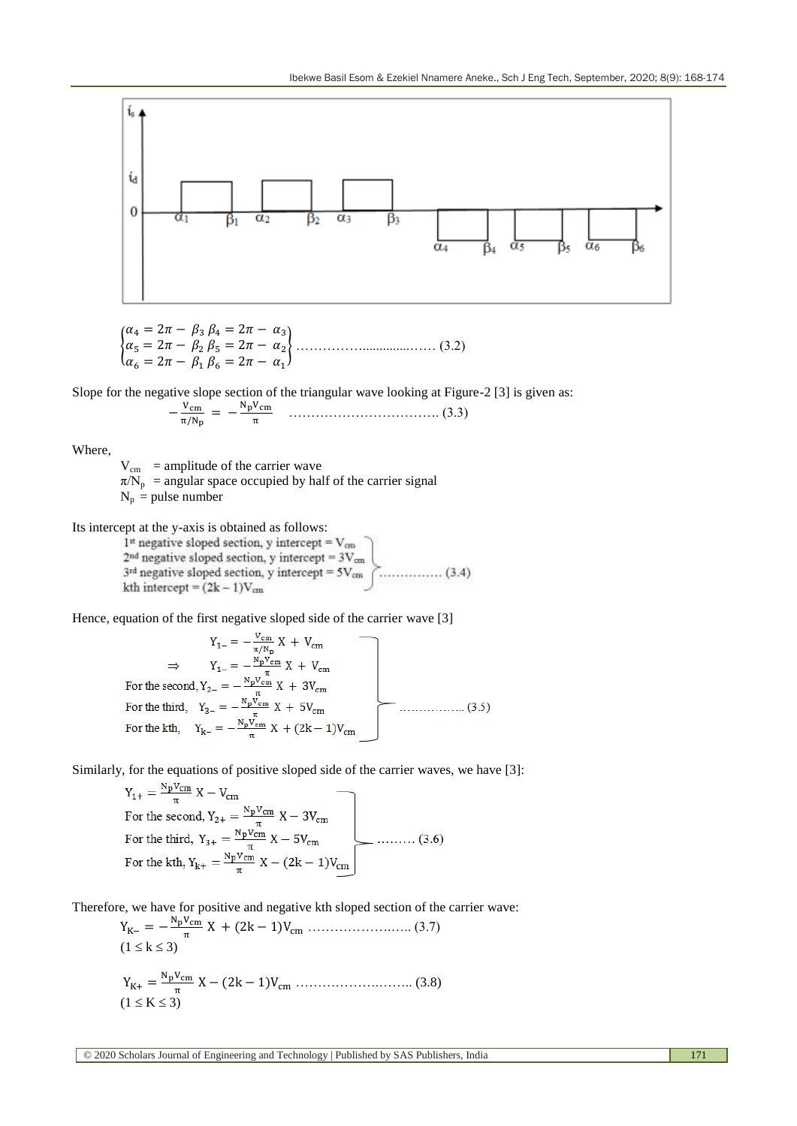

$$
\begin{cases} \n\alpha_4 = 2\pi - \beta_3 \beta_4 = 2\pi - \alpha_3 \\ \n\alpha_5 = 2\pi - \beta_2 \beta_5 = 2\pi - \alpha_2 \\ \n\alpha_6 = 2\pi - \beta_1 \beta_6 = 2\pi - \alpha_1 \n\end{cases} \n\dots \n\tag{3.2}
$$

Slope for the negative slope section of the triangular wave looking at Figure-2 [3] is given as:

$$
-\frac{V_{\rm cm}}{\pi/N_{\rm p}} = -\frac{N_{\rm p}V_{\rm cm}}{\pi} \quad \dots \dots \dots \dots \dots \dots \dots \dots \dots \dots \dots \dots \dots \tag{3.3}
$$

Where,

 $V_{cm}$  = amplitude of the carrier wave  $\pi/N_p$  = angular space occupied by half of the carrier signal  $N_p$  = pulse number

Its intercept at the y-axis is obtained as follows:

 $1$ <sup>st</sup> negative sloped section, y intercept =  $V_{cm}$  $2<sup>nd</sup>$  negative sloped section, y intercept =  $3V_{cm}$ kth intercept =  $(2k - 1)V_{cm}$ 

Hence, equation of the first negative sloped side of the carrier wave [3]<br>  $Y_{1-} = -\frac{V_{cm}}{\pi/N_p} X + V_{cm}$ <br>  $\Rightarrow Y_{1-} = -\frac{N_p V_{cm}}{\pi} X + V_{cm}$ <br>
For the second,  $Y_{2-} = -\frac{N_p V_{cm}}{\pi} X + 3V_{cm}$ <br>
For the third,  $Y_{3-} = -\frac{N_p V_{cm}}{\pi} X + 5$ 

Similarly, for the equations of positive sloped side of the carrier waves, we have [3]:

 $Y_{1+} = \frac{NpV_{cm}}{\pi} X - V_{cm}$ For the second,  $Y_{2+} = \frac{NpV_{cm}}{\pi} X - 3V_{cm}$ For the second,  $Y_{2+} = \frac{Y_{\text{p}}V_{\text{cm}}}{\pi} X - 3V_{\text{cm}}$ <br>For the third,  $Y_{3+} = \frac{N_{\text{p}}V_{\text{cm}}}{\pi} X - 5V_{\text{cm}}$ <br>For the kth,  $Y_{\text{k+}} = \frac{N_{\text{p}}V_{\text{cm}}}{\pi} X - (2k - 1)V_{\text{cm}}$ 

Therefore, we have for positive and negative kth sloped section of the carrier wave:  $N - V$ 

 ……………….….. (3.7) (1 k 3) ……………….…….. (3.8) (1 K 3)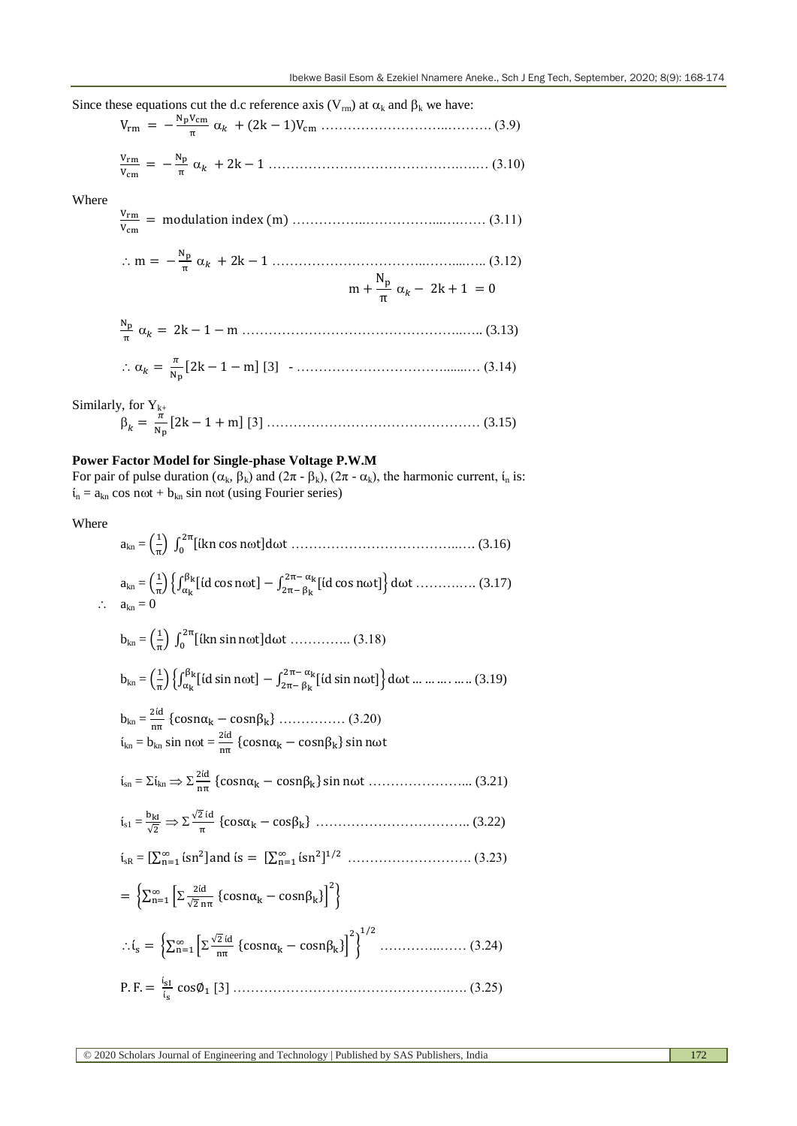Since these equations cut the d.c reference axis  $(V_{rm}$  at  $\alpha_k$  and  $\beta_k$  we have:

 ………………………..………. (3.9) 

V  $\frac{V_{\rm rm}}{V_{\rm cm}} = -\frac{N}{\tau}$ …………………………………….….… (3.10)

Where

 ……………..……………...….…… (3.11) 

 ……………………………..……....….. (3.12) 

$$
\frac{N_p}{\pi} \alpha_k = 2k - 1 - m \dots (3.13)
$$
  
 
$$
\therefore \alpha_k = \frac{\pi}{N_p} [2k - 1 - m] [3] - \dots (3.14)
$$

Similarly, for  $Y_{k+}$ 

$$
\beta_k = \frac{\pi}{N_p} [2k - 1 + m] [3] \dots
$$
 (3.15)

## **Power Factor Model for Single-phase Voltage P.W.M**

For pair of pulse duration  $(\alpha_k, \beta_k)$  and  $(2\pi - \beta_k)$ ,  $(2\pi - \alpha_k)$ , the harmonic current,  $i_n$  is:  $i_n = a_{kn} \cos n\omega t + b_{kn} \sin n\omega t$  (using Fourier series)

Where

akn = ( ) ∫ [ ] ………………………………..…. (3.16) akn = ( ) ,∫ [ ] ∫ [ ] - ……….…. (3.17) akn = 0 bkn = ( ) ∫ [ ] ………….. (3.18) bkn = ( ) ,∫ [ ] ∫ [ ] - (3.19) bkn = { } …………… (3.20) ίkn = bkn sin nt = { } ίsn = ίkn { } …………………... (3.21) ίs1 = √ √ { } …………………………….. (3.22) ίsR = [∑ ] [∑ ] ………………………. (3.23) {∑ \* √ { }+ } {∑ \* √ { }+ } …………..…… (3.24) [3] ………………………………………….…. (3.25)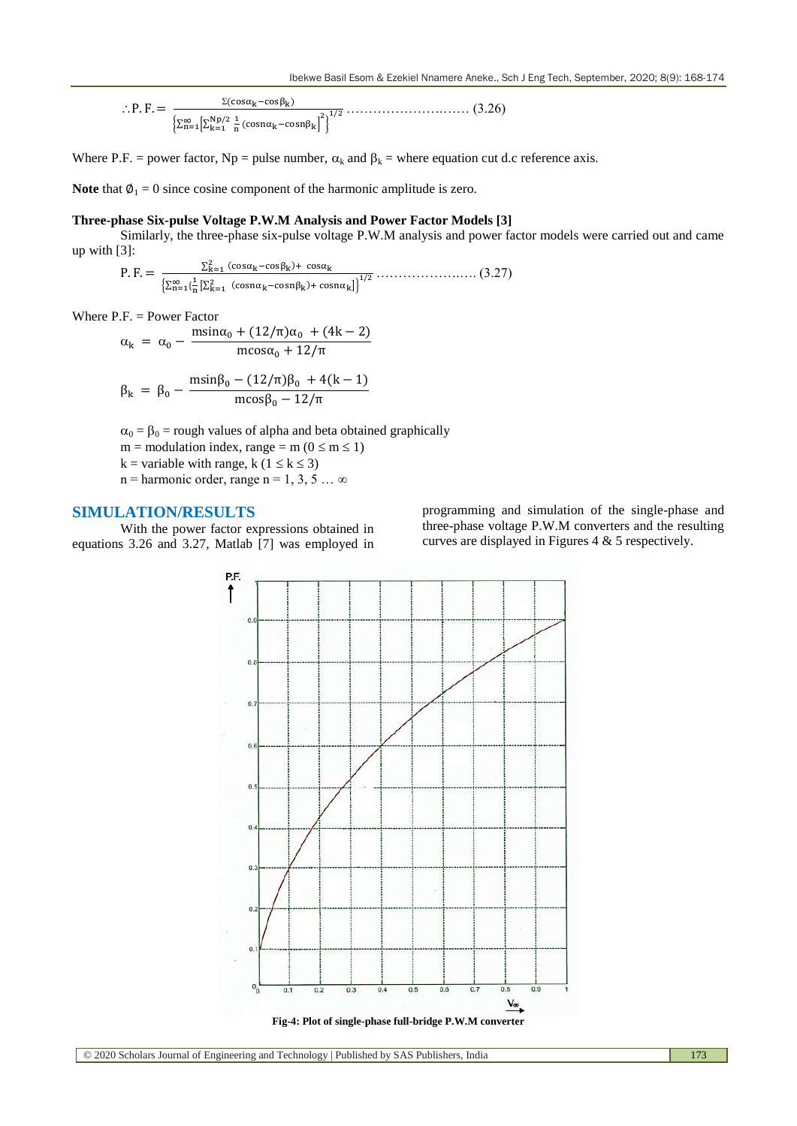$$
\therefore P. F = \frac{\Sigma(\cos\alpha_k - \cos\beta_k)}{\left[\sum_{n=1}^{\infty} \left[\sum_{k=1}^{Np/2} \frac{1}{n} (\cos n\alpha_k - \cos n\beta_k)\right]^2\right]^{1/2}}
$$
 (3.26)

Where P.F. = power factor, Np = pulse number,  $\alpha_k$  and  $\beta_k$  = where equation cut d.c reference axis.

**Note** that  $\phi_1 = 0$  since cosine component of the harmonic amplitude is zero.

## **Three-phase Six-pulse Voltage P.W.M Analysis and Power Factor Models [3]**

Similarly, the three-phase six-pulse voltage P.W.M analysis and power factor models were carried out and came up with [3]:

P. F. =  $\frac{\sum_{k=1}^{2} (\cos \alpha_k - \cos \beta_k) + c}{\sum_{k=1}^{2} (\cos \alpha_k - \cos \beta_k)}$  $\frac{\sum_{k=1}^{n} (\text{cos}(k - \text{cos}(k)) + \text{cos}(k))}{\left[\sum_{n=1}^{\infty} \left(\frac{1}{n} \left[\sum_{k=1}^{2} (\text{cos}(n\alpha_k) - \text{cos}(n\beta_k)) + \text{cos}(n\alpha_k)\right]\right]^{1/2}}$ 

Where  $P.F. = Power Factor$ 

$$
\alpha_{k} = \alpha_{0} - \frac{m\sin\alpha_{0} + (12/\pi)\alpha_{0} + (4k - 2)}{m\cos\alpha_{0} + 12/\pi}
$$

$$
\beta_{k} = \beta_{0} - \frac{\text{msin}\beta_{0} - (12/\pi)\beta_{0} + 4(k-1)}{\text{mcos}\beta_{0} - 12/\pi}
$$

 $\alpha_0 = \beta_0$  = rough values of alpha and beta obtained graphically

 $m =$  modulation index, range = m ( $0 \le m \le 1$ )

k = variable with range, k ( $1 \le k \le 3$ )

 $n =$  harmonic order, range  $n = 1, 3, 5 ... \infty$ 

## **SIMULATION/RESULTS**

With the power factor expressions obtained in equations 3.26 and 3.27, Matlab [7] was employed in

programming and simulation of the single-phase and three-phase voltage P.W.M converters and the resulting curves are displayed in Figures 4 & 5 respectively.